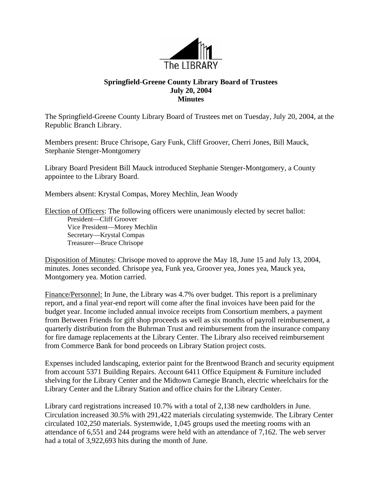

## **Springfield-Greene County Library Board of Trustees July 20, 2004 Minutes**

The Springfield-Greene County Library Board of Trustees met on Tuesday, July 20, 2004, at the Republic Branch Library.

Members present: Bruce Chrisope, Gary Funk, Cliff Groover, Cherri Jones, Bill Mauck, Stephanie Stenger-Montgomery

Library Board President Bill Mauck introduced Stephanie Stenger-Montgomery, a County appointee to the Library Board.

Members absent: Krystal Compas, Morey Mechlin, Jean Woody

Election of Officers: The following officers were unanimously elected by secret ballot: President—Cliff Groover Vice President—Morey Mechlin Secretary—Krystal Compas Treasurer—Bruce Chrisope

Disposition of Minutes: Chrisope moved to approve the May 18, June 15 and July 13, 2004, minutes. Jones seconded. Chrisope yea, Funk yea, Groover yea, Jones yea, Mauck yea, Montgomery yea. Motion carried.

Finance/Personnel: In June, the Library was 4.7% over budget. This report is a preliminary report, and a final year-end report will come after the final invoices have been paid for the budget year. Income included annual invoice receipts from Consortium members, a payment from Between Friends for gift shop proceeds as well as six months of payroll reimbursement, a quarterly distribution from the Buhrman Trust and reimbursement from the insurance company for fire damage replacements at the Library Center. The Library also received reimbursement from Commerce Bank for bond proceeds on Library Station project costs.

Expenses included landscaping, exterior paint for the Brentwood Branch and security equipment from account 5371 Building Repairs. Account 6411 Office Equipment & Furniture included shelving for the Library Center and the Midtown Carnegie Branch, electric wheelchairs for the Library Center and the Library Station and office chairs for the Library Center.

Library card registrations increased 10.7% with a total of 2,138 new cardholders in June. Circulation increased 30.5% with 291,422 materials circulating systemwide. The Library Center circulated 102,250 materials. Systemwide, 1,045 groups used the meeting rooms with an attendance of 6,551 and 244 programs were held with an attendance of 7,162. The web server had a total of 3,922,693 hits during the month of June.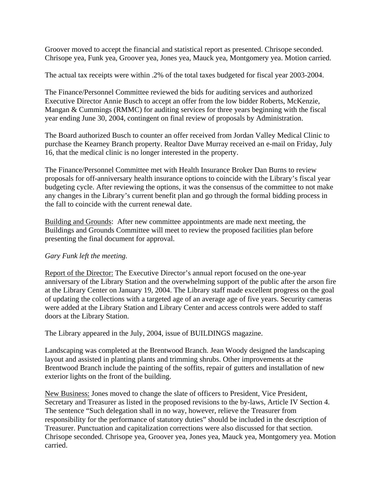Groover moved to accept the financial and statistical report as presented. Chrisope seconded. Chrisope yea, Funk yea, Groover yea, Jones yea, Mauck yea, Montgomery yea. Motion carried.

The actual tax receipts were within .2% of the total taxes budgeted for fiscal year 2003-2004.

The Finance/Personnel Committee reviewed the bids for auditing services and authorized Executive Director Annie Busch to accept an offer from the low bidder Roberts, McKenzie, Mangan & Cummings (RMMC) for auditing services for three years beginning with the fiscal year ending June 30, 2004, contingent on final review of proposals by Administration.

The Board authorized Busch to counter an offer received from Jordan Valley Medical Clinic to purchase the Kearney Branch property. Realtor Dave Murray received an e-mail on Friday, July 16, that the medical clinic is no longer interested in the property.

The Finance/Personnel Committee met with Health Insurance Broker Dan Burns to review proposals for off-anniversary health insurance options to coincide with the Library's fiscal year budgeting cycle. After reviewing the options, it was the consensus of the committee to not make any changes in the Library's current benefit plan and go through the formal bidding process in the fall to coincide with the current renewal date.

Building and Grounds: After new committee appointments are made next meeting, the Buildings and Grounds Committee will meet to review the proposed facilities plan before presenting the final document for approval.

## *Gary Funk left the meeting.*

Report of the Director: The Executive Director's annual report focused on the one-year anniversary of the Library Station and the overwhelming support of the public after the arson fire at the Library Center on January 19, 2004. The Library staff made excellent progress on the goal of updating the collections with a targeted age of an average age of five years. Security cameras were added at the Library Station and Library Center and access controls were added to staff doors at the Library Station.

The Library appeared in the July, 2004, issue of BUILDINGS magazine.

Landscaping was completed at the Brentwood Branch. Jean Woody designed the landscaping layout and assisted in planting plants and trimming shrubs. Other improvements at the Brentwood Branch include the painting of the soffits, repair of gutters and installation of new exterior lights on the front of the building.

New Business: Jones moved to change the slate of officers to President, Vice President, Secretary and Treasurer as listed in the proposed revisions to the by-laws, Article IV Section 4. The sentence "Such delegation shall in no way, however, relieve the Treasurer from responsibility for the performance of statutory duties" should be included in the description of Treasurer. Punctuation and capitalization corrections were also discussed for that section. Chrisope seconded. Chrisope yea, Groover yea, Jones yea, Mauck yea, Montgomery yea. Motion carried.